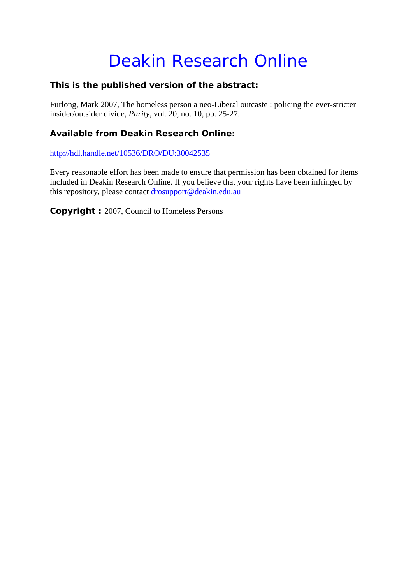# Deakin Research Online

# **This is the published version of the abstract:**

Furlong, Mark 2007, The homeless person a neo-Liberal outcaste : policing the ever-stricter insider/outsider divide*, Parity*, vol. 20, no. 10, pp. 25-27.

## **Available from Deakin Research Online:**

http://hdl.handle.net/10536/DRO/DU:30042535

Every reasonable effort has been made to ensure that permission has been obtained for items included in Deakin Research Online. If you believe that your rights have been infringed by this repository, please contact drosupport@deakin.edu.au

**Copyright :** 2007, Council to Homeless Persons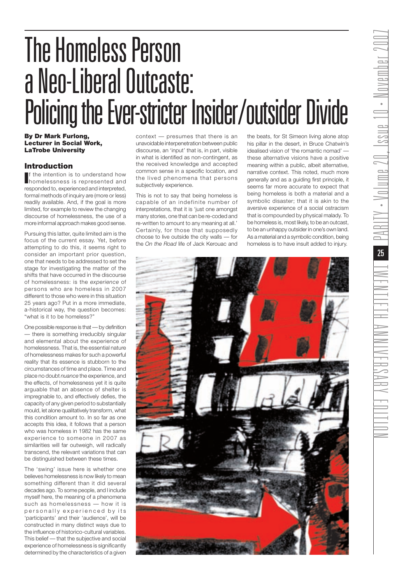# The Homeless Person a Neo-Liberal Outcaste: Policing the Ever-stricter Insider/outsider Divide

**By Dr Mark Furlong, Lecturer in Social Work, LaTrobe University**

#### **Introduction**

**If the intention is to understand how<br>homelessness is represented and** f the intention is to understand how responded to, experienced and interpreted, formal methods of inquiry are (more or less) readily available. And, if the goal is more limited, for example to review the changing discourse of homelessness, the use of a more informal approach makes good sense.

Pursuing this latter, quite limited aim is the focus of the current essay. Yet, before attempting to do this, it seems right to consider an important prior question, one that needs to be addressed to set the stage for investigating the matter of the shifts that have occurred in the discourse of homelessness: is the *experience* of persons who are homeless in 2007 different to those who were in this situation 25 years ago? Put in a more immediate, a-historical way, the question becomes: "what is it to be homeless?"

One possible response is that — by definition — there is something irreducibly singular and elemental about the experience of homelessness. That is, the essential nature of homelessness makes for such a powerful reality that its essence is stubborn to the circumstances of time and place. Time and place no doubt *nuance* the experience, and the effects, of homelessness yet it is quite arguable that an absence of shelter is impregnable to, and effectively defies, the capacity of any given period to substantially mould, let alone qualitatively transform, what this condition amount to. In so far as one accepts this idea, it follows that a person who was homeless in 1982 has the same experience to someone in 2007 as similarities will far outweigh, will radically transcend, the relevant variations that can be distinguished between these times.

The 'swing' issue here is whether one believes homelessness is now likely to mean something different than it did several decades ago. To some people, and I include myself here, the meaning of a phenomena such as homelessness — how it is personally experienced by its 'participants' and their 'audience', will be constructed in many distinct ways due to the influence of historico-cultural variables. This belief — that the subjective and social experience of homelessness is significantly determined by the characteristics of a given

context — presumes that there is an unavoidable interpenetration between public discourse, an 'input' that is, in part, visible in what is identified as non-contingent, as the received knowledge and accepted common sense in a specific location, and the lived phenomena that persons subjectively experience.

This is not to say that being homeless is capable of an indefinite number of interpretations, that it is 'just one amongst many stories, one that can be re-coded and re-written to amount to any meaning at all.' Certainly, for those that supposedly choose to live outside the city walls — for the *On the Road* life of Jack Kerouac and

the beats, for St Simeon living alone atop his pillar in the desert, in Bruce Chatwin's idealised vision of 'the romantic nomad' these alternative visions have a positive meaning within a public, albeit alternative, narrative context. This noted, much more generally and as a guiding first principle, it seems far more accurate to expect that being homeless is both a material and a symbolic disaster; that it is akin to the aversive experience of a social ostracism that is compounded by physical malady. To be homeless is, most likely, to be an outcast, to be an unhappy outsider in one's own land. As a material and a symbolic condition, being homeless is to have insult added to injury.

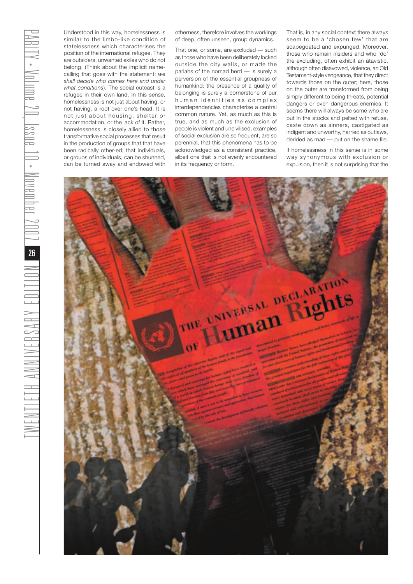Understood in this way, homelessness is similar to the limbo-like condition of statelessness which characterises the position of the international refugee. They are outsiders, unwanted exiles who do not belong. (Think about the implicit namecalling that goes with the statement: *we shall decide who comes here and under what conditions*). The social outcast is a refugee in their own land. In this sense, homelessness is not just about having, or not having, a roof over one's head. It is not just about housing, shelter or accommodation, or the lack of it. Rather, homelessness is closely allied to those transformative social processes that result in the production of groups that that have been radically other-ed; that individuals, or groups of individuals, can be shunned, can be turned away and endowed with

otherness, therefore involves the workings of deep, often unseen, group dynamics.

That one, or some, are excluded — such as those who have been deliberately locked outside the city walls, or made the pariahs of the nomad herd — is surely a perversion of the essential groupness of humankind: the presence of a quality of belonging is surely a cornerstone of our human identities as complex interdependencies characterise a central common nature. Yet, as much as this is true, and as much as the exclusion of people is violent and uncivilised, examples of social exclusion are so frequent, are so perennial, that this phenomena has to be acknowledged as a consistent practice, albeit one that is not evenly encountered in its frequency or form.

That is, in any social context there always seem to be a 'chosen few' that are scapegoated and expunged. Moreover, those who remain insiders and who 'do' the excluding, often exhibit an atavistic, although often disavowed, violence, an Old Testament-style vengeance, that they direct towards those on the outer; here, those on the outer are transformed from being simply different to being threats, potential dangers or even dangerous enemies. It seems there will always be some who are put in the stocks and pelted with refuse, caste down as sinners, castigated as indigent and unworthy, harried as outlaws, derided as mad — put on the shame file.

If homelessness in this sense is in some way synonymous with exclusion or expulsion, then it is not surprising that the